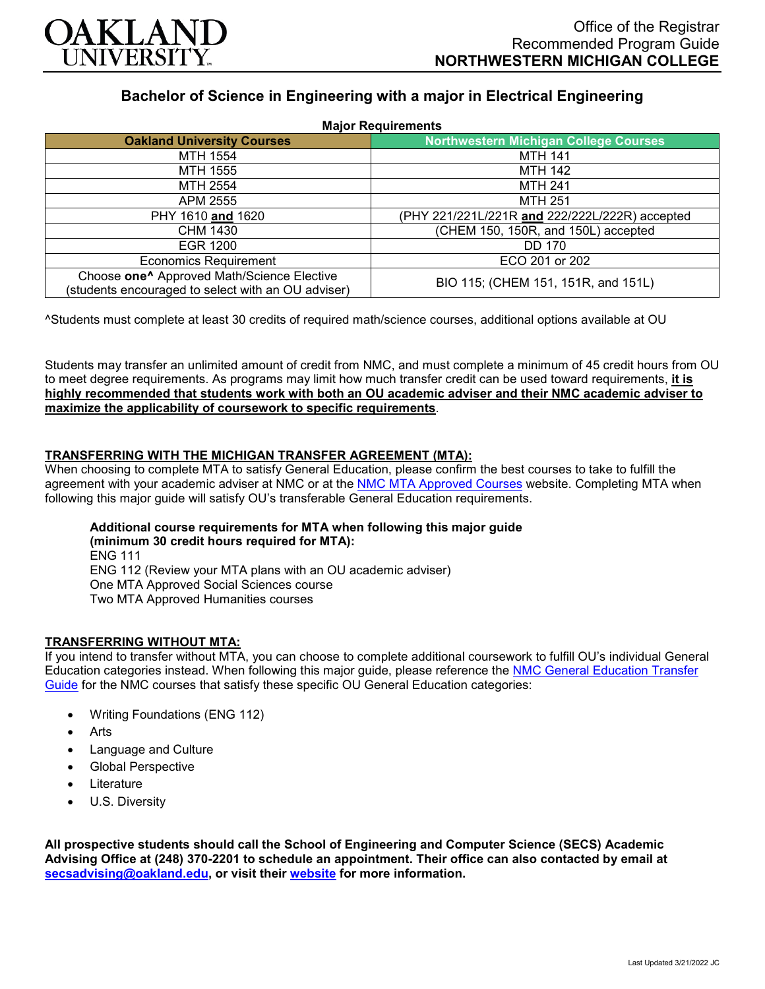

# **Bachelor of Science in Engineering with a major in Electrical Engineering**

| <b>Major Requirements</b>                                                                                    |                                                |
|--------------------------------------------------------------------------------------------------------------|------------------------------------------------|
| <b>Oakland University Courses</b>                                                                            | <b>Northwestern Michigan College Courses</b>   |
| MTH 1554                                                                                                     | <b>MTH 141</b>                                 |
| MTH 1555                                                                                                     | <b>MTH 142</b>                                 |
| MTH 2554                                                                                                     | <b>MTH 241</b>                                 |
| APM 2555                                                                                                     | <b>MTH 251</b>                                 |
| PHY 1610 and 1620                                                                                            | (PHY 221/221L/221R and 222/222L/222R) accepted |
| CHM 1430                                                                                                     | (CHEM 150, 150R, and 150L) accepted            |
| EGR 1200                                                                                                     | DD 170                                         |
| <b>Economics Requirement</b>                                                                                 | ECO 201 or 202                                 |
| Choose one <sup>^</sup> Approved Math/Science Elective<br>(students encouraged to select with an OU adviser) | BIO 115; (CHEM 151, 151R, and 151L)            |

^Students must complete at least 30 credits of required math/science courses, additional options available at OU

Students may transfer an unlimited amount of credit from NMC, and must complete a minimum of 45 credit hours from OU to meet degree requirements. As programs may limit how much transfer credit can be used toward requirements, **it is highly recommended that students work with both an OU academic adviser and their NMC academic adviser to maximize the applicability of coursework to specific requirements**.

# **TRANSFERRING WITH THE MICHIGAN TRANSFER AGREEMENT (MTA):**

When choosing to complete MTA to satisfy General Education, please confirm the best courses to take to fulfill the agreement with your academic adviser at NMC or at the [NMC MTA Approved Courses](https://www.nmc.edu/programs/course-descriptions/group-1-courses-for-mta.pdf) website. Completing MTA when following this major guide will satisfy OU's transferable General Education requirements.

#### **Additional course requirements for MTA when following this major guide (minimum 30 credit hours required for MTA):** ENG 111

ENG 112 (Review your MTA plans with an OU academic adviser) One MTA Approved Social Sciences course Two MTA Approved Humanities courses

### **TRANSFERRING WITHOUT MTA:**

If you intend to transfer without MTA, you can choose to complete additional coursework to fulfill OU's individual General Education categories instead. When following this major guide, please reference the [NMC General Education Transfer](https://www.oakland.edu/Assets/Oakland/program-guides/northwestern-michigan-college/university-general-education-requirements/Northwestern%20Gen%20Ed.pdf)  [Guide](https://www.oakland.edu/Assets/Oakland/program-guides/northwestern-michigan-college/university-general-education-requirements/Northwestern%20Gen%20Ed.pdf) for the NMC courses that satisfy these specific OU General Education categories:

- Writing Foundations (ENG 112)
- **Arts**
- Language and Culture
- Global Perspective
- **Literature**
- U.S. Diversity

**All prospective students should call the School of Engineering and Computer Science (SECS) Academic Advising Office at (248) 370-2201 to schedule an appointment. Their office can also contacted by email at [secsadvising@oakland.edu,](mailto:secsadvising@oakland.edu) or visit their [website](https://wwwp.oakland.edu/secs/advising/) for more information.**